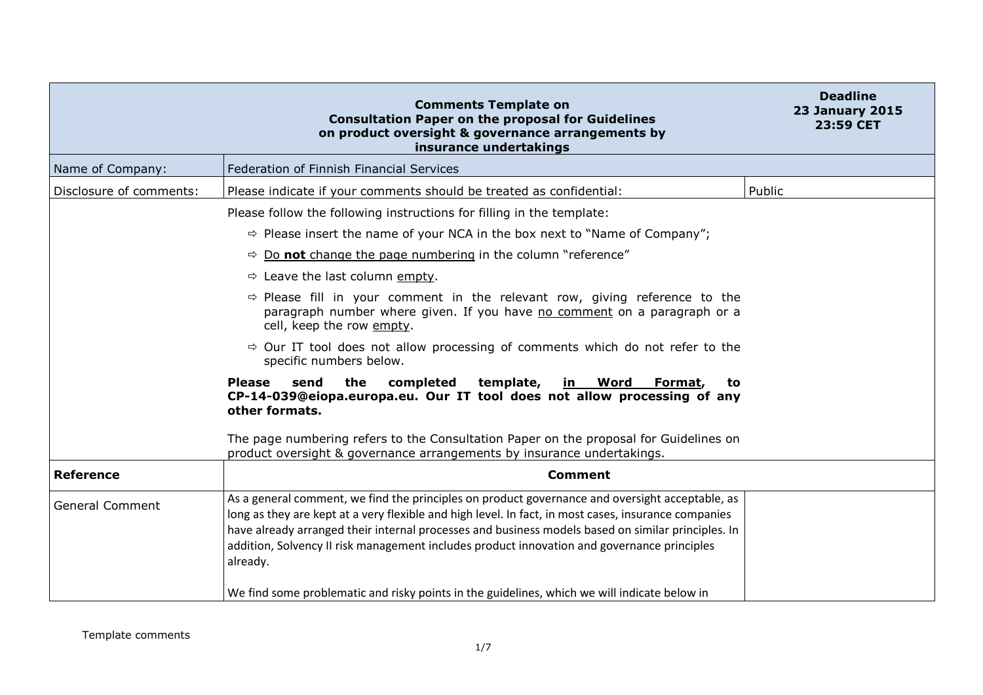|                         | <b>Comments Template on</b><br><b>Consultation Paper on the proposal for Guidelines</b><br>on product oversight & governance arrangements by<br>insurance undertakings                                                                                                                                                                                                                                                   | <b>Deadline</b><br><b>23 January 2015</b><br>23:59 CET |
|-------------------------|--------------------------------------------------------------------------------------------------------------------------------------------------------------------------------------------------------------------------------------------------------------------------------------------------------------------------------------------------------------------------------------------------------------------------|--------------------------------------------------------|
| Name of Company:        | Federation of Finnish Financial Services                                                                                                                                                                                                                                                                                                                                                                                 |                                                        |
| Disclosure of comments: | Please indicate if your comments should be treated as confidential:                                                                                                                                                                                                                                                                                                                                                      | Public                                                 |
|                         | Please follow the following instructions for filling in the template:                                                                                                                                                                                                                                                                                                                                                    |                                                        |
|                         | $\Rightarrow$ Please insert the name of your NCA in the box next to "Name of Company";                                                                                                                                                                                                                                                                                                                                   |                                                        |
|                         | $\Rightarrow$ Do not change the page numbering in the column "reference"                                                                                                                                                                                                                                                                                                                                                 |                                                        |
|                         | $\Rightarrow$ Leave the last column empty.                                                                                                                                                                                                                                                                                                                                                                               |                                                        |
|                         | $\Rightarrow$ Please fill in your comment in the relevant row, giving reference to the<br>paragraph number where given. If you have no comment on a paragraph or a<br>cell, keep the row empty.                                                                                                                                                                                                                          |                                                        |
|                         | $\Rightarrow$ Our IT tool does not allow processing of comments which do not refer to the<br>specific numbers below.                                                                                                                                                                                                                                                                                                     |                                                        |
|                         | send<br>the<br>completed<br>template,<br>Word<br><b>Please</b><br>in<br>Format,<br>to<br>CP-14-039@eiopa.europa.eu. Our IT tool does not allow processing of any<br>other formats.                                                                                                                                                                                                                                       |                                                        |
|                         | The page numbering refers to the Consultation Paper on the proposal for Guidelines on<br>product oversight & governance arrangements by insurance undertakings.                                                                                                                                                                                                                                                          |                                                        |
| <b>Reference</b>        | <b>Comment</b>                                                                                                                                                                                                                                                                                                                                                                                                           |                                                        |
| <b>General Comment</b>  | As a general comment, we find the principles on product governance and oversight acceptable, as<br>long as they are kept at a very flexible and high level. In fact, in most cases, insurance companies<br>have already arranged their internal processes and business models based on similar principles. In<br>addition, Solvency II risk management includes product innovation and governance principles<br>already. |                                                        |
|                         | We find some problematic and risky points in the guidelines, which we will indicate below in                                                                                                                                                                                                                                                                                                                             |                                                        |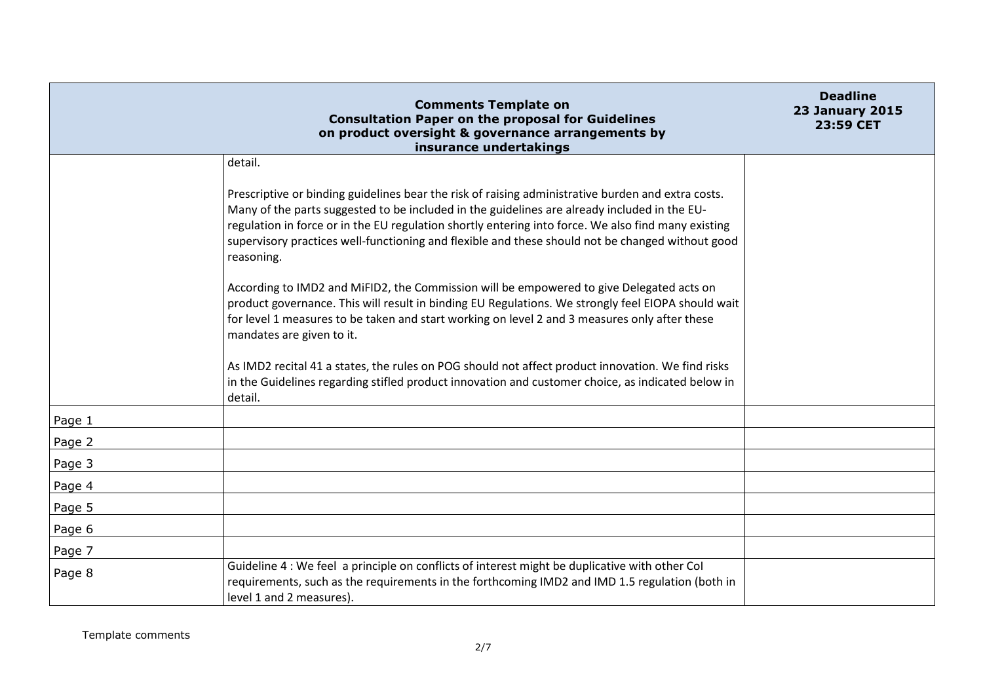|        | <b>Comments Template on</b><br><b>Consultation Paper on the proposal for Guidelines</b><br>on product oversight & governance arrangements by<br>insurance undertakings                                                                                                                                                                                                                                                      | <b>Deadline</b><br><b>23 January 2015</b><br>23:59 CET |
|--------|-----------------------------------------------------------------------------------------------------------------------------------------------------------------------------------------------------------------------------------------------------------------------------------------------------------------------------------------------------------------------------------------------------------------------------|--------------------------------------------------------|
|        | detail.                                                                                                                                                                                                                                                                                                                                                                                                                     |                                                        |
|        | Prescriptive or binding guidelines bear the risk of raising administrative burden and extra costs.<br>Many of the parts suggested to be included in the guidelines are already included in the EU-<br>regulation in force or in the EU regulation shortly entering into force. We also find many existing<br>supervisory practices well-functioning and flexible and these should not be changed without good<br>reasoning. |                                                        |
|        | According to IMD2 and MiFID2, the Commission will be empowered to give Delegated acts on<br>product governance. This will result in binding EU Regulations. We strongly feel EIOPA should wait<br>for level 1 measures to be taken and start working on level 2 and 3 measures only after these<br>mandates are given to it.                                                                                                |                                                        |
|        | As IMD2 recital 41 a states, the rules on POG should not affect product innovation. We find risks<br>in the Guidelines regarding stifled product innovation and customer choice, as indicated below in<br>detail.                                                                                                                                                                                                           |                                                        |
| Page 1 |                                                                                                                                                                                                                                                                                                                                                                                                                             |                                                        |
| Page 2 |                                                                                                                                                                                                                                                                                                                                                                                                                             |                                                        |
| Page 3 |                                                                                                                                                                                                                                                                                                                                                                                                                             |                                                        |
| Page 4 |                                                                                                                                                                                                                                                                                                                                                                                                                             |                                                        |
| Page 5 |                                                                                                                                                                                                                                                                                                                                                                                                                             |                                                        |
| Page 6 |                                                                                                                                                                                                                                                                                                                                                                                                                             |                                                        |
| Page 7 |                                                                                                                                                                                                                                                                                                                                                                                                                             |                                                        |
| Page 8 | Guideline 4 : We feel a principle on conflicts of interest might be duplicative with other Col<br>requirements, such as the requirements in the forthcoming IMD2 and IMD 1.5 regulation (both in<br>level 1 and 2 measures).                                                                                                                                                                                                |                                                        |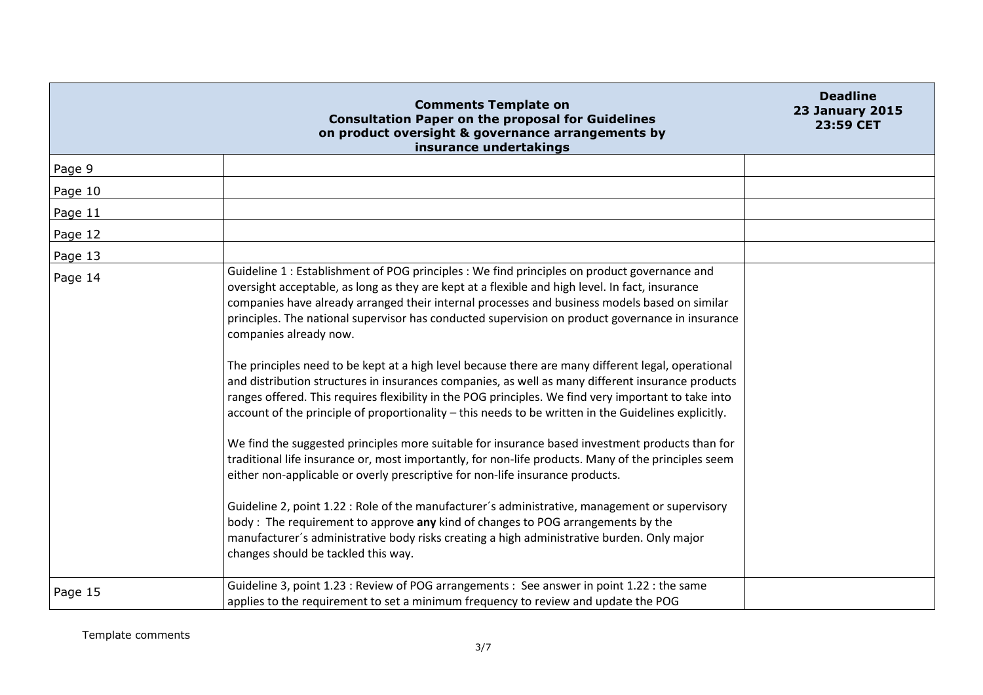|         | <b>Comments Template on</b><br><b>Consultation Paper on the proposal for Guidelines</b><br>on product oversight & governance arrangements by<br>insurance undertakings                                                                                                                                                                                                                                                                                                                                                                                                                                                                                                                                                                                                                                                                                                                                                                                                                                                                                                                                                                                                                                                                                                                                                                                                                                                                                                         | <b>Deadline</b><br><b>23 January 2015</b><br>23:59 CET |
|---------|--------------------------------------------------------------------------------------------------------------------------------------------------------------------------------------------------------------------------------------------------------------------------------------------------------------------------------------------------------------------------------------------------------------------------------------------------------------------------------------------------------------------------------------------------------------------------------------------------------------------------------------------------------------------------------------------------------------------------------------------------------------------------------------------------------------------------------------------------------------------------------------------------------------------------------------------------------------------------------------------------------------------------------------------------------------------------------------------------------------------------------------------------------------------------------------------------------------------------------------------------------------------------------------------------------------------------------------------------------------------------------------------------------------------------------------------------------------------------------|--------------------------------------------------------|
| Page 9  |                                                                                                                                                                                                                                                                                                                                                                                                                                                                                                                                                                                                                                                                                                                                                                                                                                                                                                                                                                                                                                                                                                                                                                                                                                                                                                                                                                                                                                                                                |                                                        |
| Page 10 |                                                                                                                                                                                                                                                                                                                                                                                                                                                                                                                                                                                                                                                                                                                                                                                                                                                                                                                                                                                                                                                                                                                                                                                                                                                                                                                                                                                                                                                                                |                                                        |
| Page 11 |                                                                                                                                                                                                                                                                                                                                                                                                                                                                                                                                                                                                                                                                                                                                                                                                                                                                                                                                                                                                                                                                                                                                                                                                                                                                                                                                                                                                                                                                                |                                                        |
| Page 12 |                                                                                                                                                                                                                                                                                                                                                                                                                                                                                                                                                                                                                                                                                                                                                                                                                                                                                                                                                                                                                                                                                                                                                                                                                                                                                                                                                                                                                                                                                |                                                        |
| Page 13 |                                                                                                                                                                                                                                                                                                                                                                                                                                                                                                                                                                                                                                                                                                                                                                                                                                                                                                                                                                                                                                                                                                                                                                                                                                                                                                                                                                                                                                                                                |                                                        |
| Page 14 | Guideline 1 : Establishment of POG principles : We find principles on product governance and<br>oversight acceptable, as long as they are kept at a flexible and high level. In fact, insurance<br>companies have already arranged their internal processes and business models based on similar<br>principles. The national supervisor has conducted supervision on product governance in insurance<br>companies already now.<br>The principles need to be kept at a high level because there are many different legal, operational<br>and distribution structures in insurances companies, as well as many different insurance products<br>ranges offered. This requires flexibility in the POG principles. We find very important to take into<br>account of the principle of proportionality - this needs to be written in the Guidelines explicitly.<br>We find the suggested principles more suitable for insurance based investment products than for<br>traditional life insurance or, most importantly, for non-life products. Many of the principles seem<br>either non-applicable or overly prescriptive for non-life insurance products.<br>Guideline 2, point 1.22 : Role of the manufacturer's administrative, management or supervisory<br>body: The requirement to approve any kind of changes to POG arrangements by the<br>manufacturer's administrative body risks creating a high administrative burden. Only major<br>changes should be tackled this way. |                                                        |
| Page 15 | Guideline 3, point 1.23 : Review of POG arrangements : See answer in point 1.22 : the same<br>applies to the requirement to set a minimum frequency to review and update the POG                                                                                                                                                                                                                                                                                                                                                                                                                                                                                                                                                                                                                                                                                                                                                                                                                                                                                                                                                                                                                                                                                                                                                                                                                                                                                               |                                                        |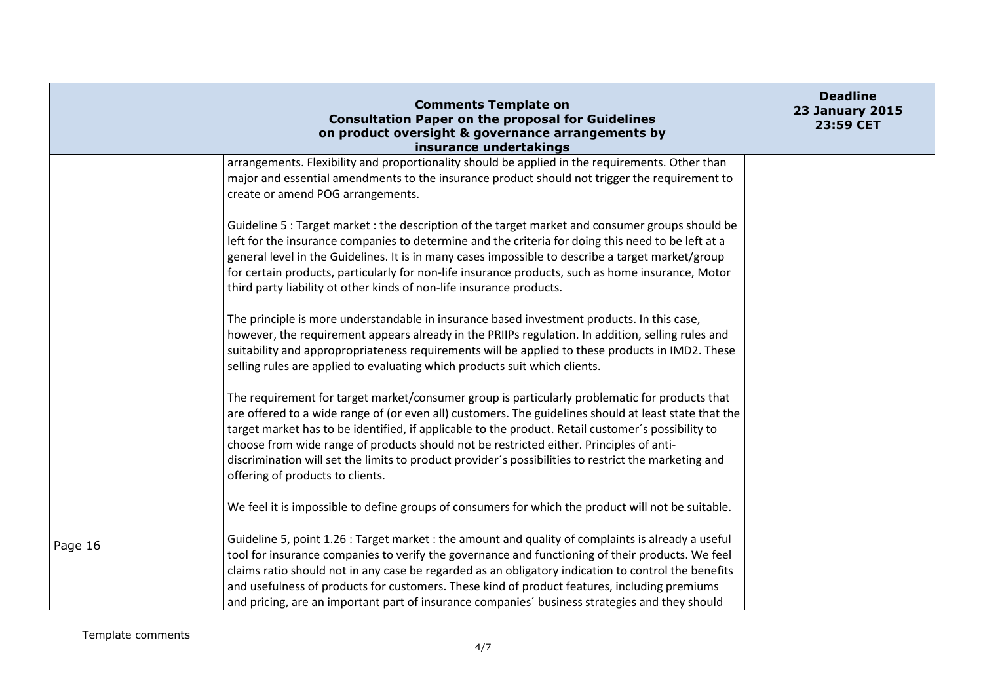|         | <b>Comments Template on</b><br><b>Consultation Paper on the proposal for Guidelines</b><br>on product oversight & governance arrangements by<br>insurance undertakings                                                                                                                                                                                                                                                                                                                                                                               | <b>Deadline</b><br><b>23 January 2015</b><br>23:59 CET |
|---------|------------------------------------------------------------------------------------------------------------------------------------------------------------------------------------------------------------------------------------------------------------------------------------------------------------------------------------------------------------------------------------------------------------------------------------------------------------------------------------------------------------------------------------------------------|--------------------------------------------------------|
|         | arrangements. Flexibility and proportionality should be applied in the requirements. Other than<br>major and essential amendments to the insurance product should not trigger the requirement to<br>create or amend POG arrangements.                                                                                                                                                                                                                                                                                                                |                                                        |
|         | Guideline 5 : Target market : the description of the target market and consumer groups should be<br>left for the insurance companies to determine and the criteria for doing this need to be left at a<br>general level in the Guidelines. It is in many cases impossible to describe a target market/group<br>for certain products, particularly for non-life insurance products, such as home insurance, Motor<br>third party liability ot other kinds of non-life insurance products.                                                             |                                                        |
|         | The principle is more understandable in insurance based investment products. In this case,<br>however, the requirement appears already in the PRIIPs regulation. In addition, selling rules and<br>suitability and appropropriateness requirements will be applied to these products in IMD2. These<br>selling rules are applied to evaluating which products suit which clients.                                                                                                                                                                    |                                                        |
|         | The requirement for target market/consumer group is particularly problematic for products that<br>are offered to a wide range of (or even all) customers. The guidelines should at least state that the<br>target market has to be identified, if applicable to the product. Retail customer's possibility to<br>choose from wide range of products should not be restricted either. Principles of anti-<br>discrimination will set the limits to product provider's possibilities to restrict the marketing and<br>offering of products to clients. |                                                        |
|         | We feel it is impossible to define groups of consumers for which the product will not be suitable.                                                                                                                                                                                                                                                                                                                                                                                                                                                   |                                                        |
| Page 16 | Guideline 5, point 1.26 : Target market : the amount and quality of complaints is already a useful<br>tool for insurance companies to verify the governance and functioning of their products. We feel<br>claims ratio should not in any case be regarded as an obligatory indication to control the benefits<br>and usefulness of products for customers. These kind of product features, including premiums<br>and pricing, are an important part of insurance companies' business strategies and they should                                      |                                                        |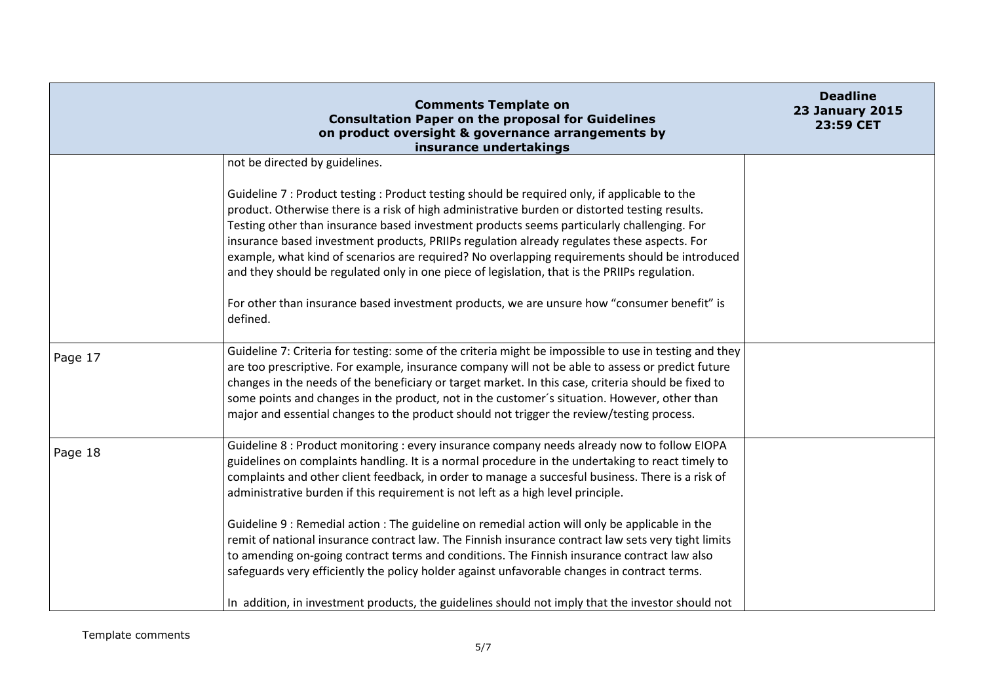|         | <b>Comments Template on</b><br><b>Consultation Paper on the proposal for Guidelines</b><br>on product oversight & governance arrangements by<br>insurance undertakings                                                                                                                                                                                                                                                                                                                                                                                                                          | <b>Deadline</b><br><b>23 January 2015</b><br>23:59 CET |
|---------|-------------------------------------------------------------------------------------------------------------------------------------------------------------------------------------------------------------------------------------------------------------------------------------------------------------------------------------------------------------------------------------------------------------------------------------------------------------------------------------------------------------------------------------------------------------------------------------------------|--------------------------------------------------------|
|         | not be directed by guidelines.                                                                                                                                                                                                                                                                                                                                                                                                                                                                                                                                                                  |                                                        |
|         | Guideline 7 : Product testing : Product testing should be required only, if applicable to the<br>product. Otherwise there is a risk of high administrative burden or distorted testing results.<br>Testing other than insurance based investment products seems particularly challenging. For<br>insurance based investment products, PRIIPs regulation already regulates these aspects. For<br>example, what kind of scenarios are required? No overlapping requirements should be introduced<br>and they should be regulated only in one piece of legislation, that is the PRIIPs regulation. |                                                        |
|         | For other than insurance based investment products, we are unsure how "consumer benefit" is<br>defined.                                                                                                                                                                                                                                                                                                                                                                                                                                                                                         |                                                        |
| Page 17 | Guideline 7: Criteria for testing: some of the criteria might be impossible to use in testing and they<br>are too prescriptive. For example, insurance company will not be able to assess or predict future<br>changes in the needs of the beneficiary or target market. In this case, criteria should be fixed to<br>some points and changes in the product, not in the customer's situation. However, other than<br>major and essential changes to the product should not trigger the review/testing process.                                                                                 |                                                        |
| Page 18 | Guideline 8: Product monitoring: every insurance company needs already now to follow EIOPA<br>guidelines on complaints handling. It is a normal procedure in the undertaking to react timely to<br>complaints and other client feedback, in order to manage a succesful business. There is a risk of<br>administrative burden if this requirement is not left as a high level principle.                                                                                                                                                                                                        |                                                        |
|         | Guideline 9 : Remedial action : The guideline on remedial action will only be applicable in the<br>remit of national insurance contract law. The Finnish insurance contract law sets very tight limits<br>to amending on-going contract terms and conditions. The Finnish insurance contract law also<br>safeguards very efficiently the policy holder against unfavorable changes in contract terms.<br>In addition, in investment products, the guidelines should not imply that the investor should not                                                                                      |                                                        |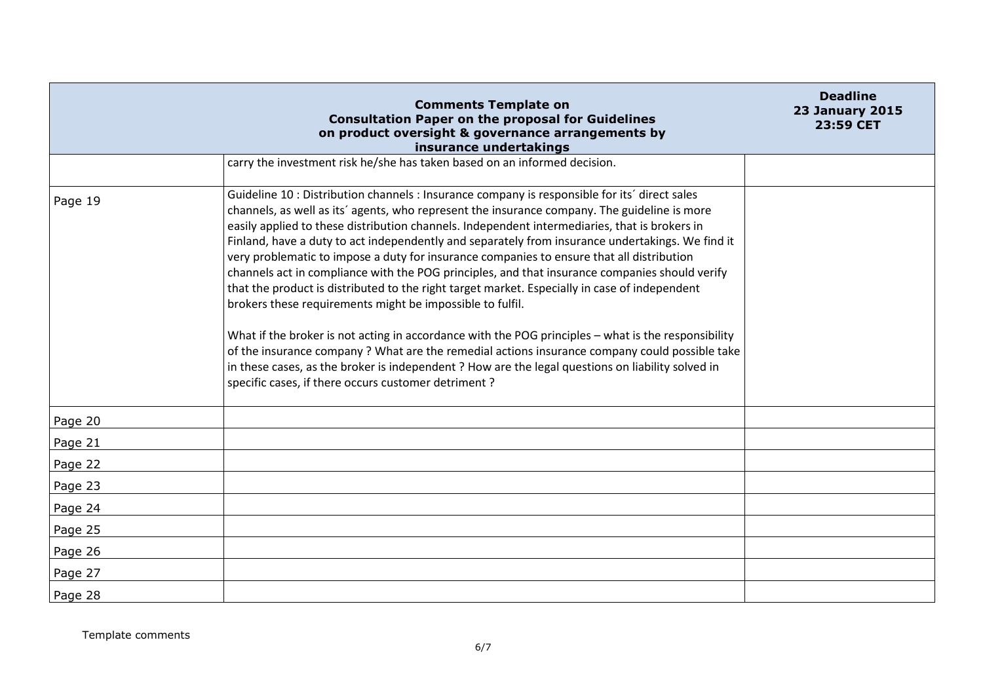|         | <b>Comments Template on</b><br><b>Consultation Paper on the proposal for Guidelines</b><br>on product oversight & governance arrangements by<br>insurance undertakings                                                                                                                                                                                                                                                                                                                                                                                                                                                                                                                                                                                                                                                                                                                                                                                                                                                                                                                                                             | <b>Deadline</b><br><b>23 January 2015</b><br>23:59 CET |
|---------|------------------------------------------------------------------------------------------------------------------------------------------------------------------------------------------------------------------------------------------------------------------------------------------------------------------------------------------------------------------------------------------------------------------------------------------------------------------------------------------------------------------------------------------------------------------------------------------------------------------------------------------------------------------------------------------------------------------------------------------------------------------------------------------------------------------------------------------------------------------------------------------------------------------------------------------------------------------------------------------------------------------------------------------------------------------------------------------------------------------------------------|--------------------------------------------------------|
|         | carry the investment risk he/she has taken based on an informed decision.                                                                                                                                                                                                                                                                                                                                                                                                                                                                                                                                                                                                                                                                                                                                                                                                                                                                                                                                                                                                                                                          |                                                        |
| Page 19 | Guideline 10 : Distribution channels : Insurance company is responsible for its' direct sales<br>channels, as well as its' agents, who represent the insurance company. The guideline is more<br>easily applied to these distribution channels. Independent intermediaries, that is brokers in<br>Finland, have a duty to act independently and separately from insurance undertakings. We find it<br>very problematic to impose a duty for insurance companies to ensure that all distribution<br>channels act in compliance with the POG principles, and that insurance companies should verify<br>that the product is distributed to the right target market. Especially in case of independent<br>brokers these requirements might be impossible to fulfil.<br>What if the broker is not acting in accordance with the POG principles - what is the responsibility<br>of the insurance company? What are the remedial actions insurance company could possible take<br>in these cases, as the broker is independent? How are the legal questions on liability solved in<br>specific cases, if there occurs customer detriment? |                                                        |
| Page 20 |                                                                                                                                                                                                                                                                                                                                                                                                                                                                                                                                                                                                                                                                                                                                                                                                                                                                                                                                                                                                                                                                                                                                    |                                                        |
| Page 21 |                                                                                                                                                                                                                                                                                                                                                                                                                                                                                                                                                                                                                                                                                                                                                                                                                                                                                                                                                                                                                                                                                                                                    |                                                        |
| Page 22 |                                                                                                                                                                                                                                                                                                                                                                                                                                                                                                                                                                                                                                                                                                                                                                                                                                                                                                                                                                                                                                                                                                                                    |                                                        |
| Page 23 |                                                                                                                                                                                                                                                                                                                                                                                                                                                                                                                                                                                                                                                                                                                                                                                                                                                                                                                                                                                                                                                                                                                                    |                                                        |
| Page 24 |                                                                                                                                                                                                                                                                                                                                                                                                                                                                                                                                                                                                                                                                                                                                                                                                                                                                                                                                                                                                                                                                                                                                    |                                                        |
| Page 25 |                                                                                                                                                                                                                                                                                                                                                                                                                                                                                                                                                                                                                                                                                                                                                                                                                                                                                                                                                                                                                                                                                                                                    |                                                        |
| Page 26 |                                                                                                                                                                                                                                                                                                                                                                                                                                                                                                                                                                                                                                                                                                                                                                                                                                                                                                                                                                                                                                                                                                                                    |                                                        |
| Page 27 |                                                                                                                                                                                                                                                                                                                                                                                                                                                                                                                                                                                                                                                                                                                                                                                                                                                                                                                                                                                                                                                                                                                                    |                                                        |
| Page 28 |                                                                                                                                                                                                                                                                                                                                                                                                                                                                                                                                                                                                                                                                                                                                                                                                                                                                                                                                                                                                                                                                                                                                    |                                                        |